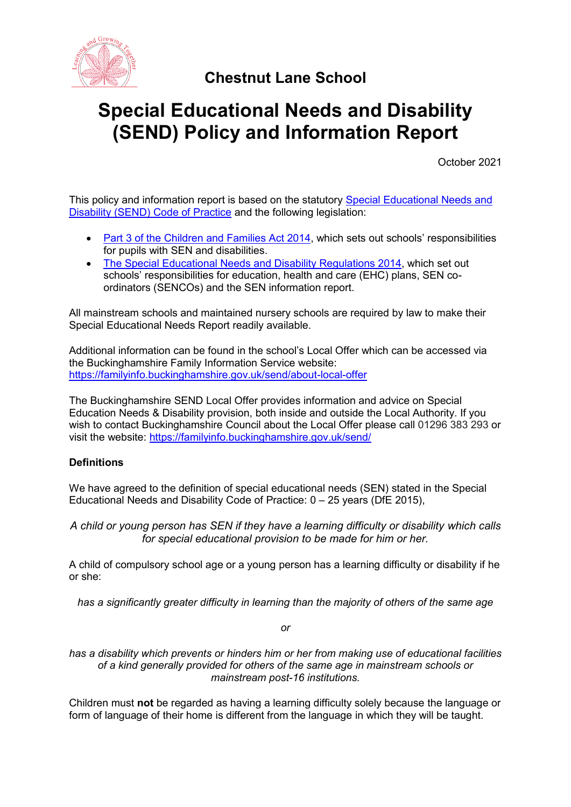

# **Chestnut Lane School**

# **Special Educational Needs and Disability (SEND) Policy and Information Report**

October 2021

This policy and information report is based on the statutory [Special Educational Needs and](https://www.gov.uk/government/uploads/system/uploads/attachment_data/file/398815/SEND_Code_of_Practice_January_2015.pdf)  [Disability \(SEND\) Code of Practice](https://www.gov.uk/government/uploads/system/uploads/attachment_data/file/398815/SEND_Code_of_Practice_January_2015.pdf) and the following legislation:

- [Part 3 of the Children and Families Act 2014](http://www.legislation.gov.uk/ukpga/2014/6/part/3), which sets out schools' responsibilities for pupils with SEN and disabilities.
- [The Special Educational Needs and Disability Regulations 2014,](http://www.legislation.gov.uk/uksi/2014/1530/contents/made) which set out schools' responsibilities for education, health and care (EHC) plans, SEN coordinators (SENCOs) and the SEN information report.

All mainstream schools and maintained nursery schools are required by law to make their Special Educational Needs Report readily available.

Additional information can be found in the school's Local Offer which can be accessed via the Buckinghamshire Family Information Service website: <https://familyinfo.buckinghamshire.gov.uk/send/about-local-offer>

The Buckinghamshire SEND Local Offer provides information and advice on Special Education Needs & Disability provision, both inside and outside the Local Authority. If you wish to contact Buckinghamshire Council about the Local Offer please call 01296 383 293 or visit the website: <https://familyinfo.buckinghamshire.gov.uk/send/>

# **Definitions**

We have agreed to the definition of special educational needs (SEN) stated in the Special Educational Needs and Disability Code of Practice:  $0 - 25$  years (DfE 2015),

*A child or young person has SEN if they have a learning difficulty or disability which calls for special educational provision to be made for him or her.*

A child of compulsory school age or a young person has a learning difficulty or disability if he or she:

*has a significantly greater difficulty in learning than the majority of others of the same age*

*or*

*has a disability which prevents or hinders him or her from making use of educational facilities of a kind generally provided for others of the same age in mainstream schools or mainstream post-16 institutions.*

Children must **not** be regarded as having a learning difficulty solely because the language or form of language of their home is different from the language in which they will be taught.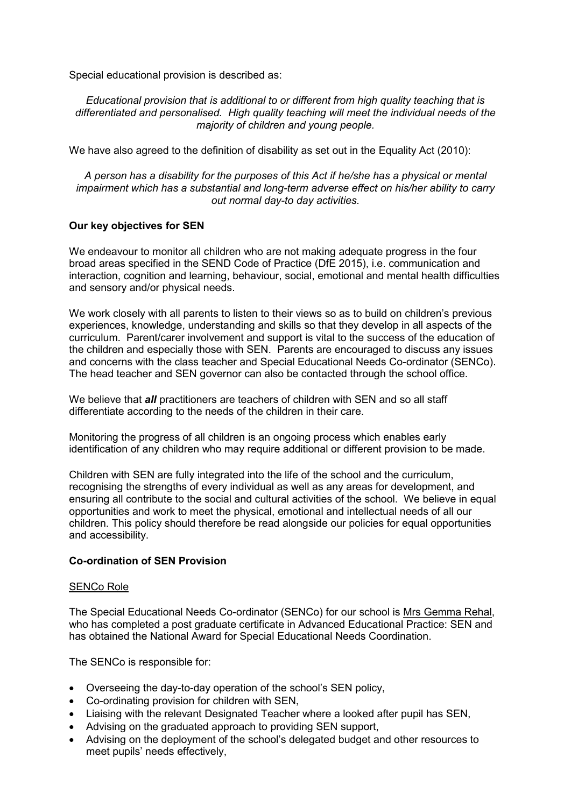Special educational provision is described as:

*Educational provision that is additional to or different from high quality teaching that is differentiated and personalised. High quality teaching will meet the individual needs of the majority of children and young people.*

We have also agreed to the definition of disability as set out in the Equality Act (2010):

*A person has a disability for the purposes of this Act if he/she has a physical or mental impairment which has a substantial and long-term adverse effect on his/her ability to carry out normal day-to day activities.*

# **Our key objectives for SEN**

We endeavour to monitor all children who are not making adequate progress in the four broad areas specified in the SEND Code of Practice (DfE 2015), i.e. communication and interaction, cognition and learning, behaviour, social, emotional and mental health difficulties and sensory and/or physical needs.

We work closely with all parents to listen to their views so as to build on children's previous experiences, knowledge, understanding and skills so that they develop in all aspects of the curriculum. Parent/carer involvement and support is vital to the success of the education of the children and especially those with SEN. Parents are encouraged to discuss any issues and concerns with the class teacher and Special Educational Needs Co-ordinator (SENCo). The head teacher and SEN governor can also be contacted through the school office.

We believe that *all* practitioners are teachers of children with SEN and so all staff differentiate according to the needs of the children in their care.

Monitoring the progress of all children is an ongoing process which enables early identification of any children who may require additional or different provision to be made.

Children with SEN are fully integrated into the life of the school and the curriculum, recognising the strengths of every individual as well as any areas for development, and ensuring all contribute to the social and cultural activities of the school. We believe in equal opportunities and work to meet the physical, emotional and intellectual needs of all our children. This policy should therefore be read alongside our policies for equal opportunities and accessibility.

# **Co-ordination of SEN Provision**

#### SENCo Role

The Special Educational Needs Co-ordinator (SENCo) for our school is Mrs Gemma Rehal, who has completed a post graduate certificate in Advanced Educational Practice: SEN and has obtained the National Award for Special Educational Needs Coordination.

The SENCo is responsible for:

- Overseeing the day-to-day operation of the school's SEN policy,
- Co-ordinating provision for children with SEN,
- Liaising with the relevant Designated Teacher where a looked after pupil has SEN,
- Advising on the graduated approach to providing SEN support,
- Advising on the deployment of the school's delegated budget and other resources to meet pupils' needs effectively,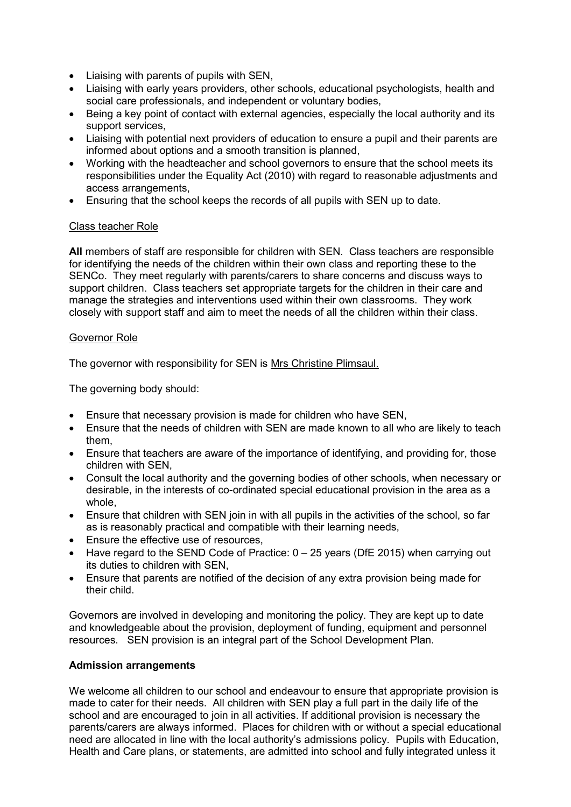- Liaising with parents of pupils with SEN,
- Liaising with early years providers, other schools, educational psychologists, health and social care professionals, and independent or voluntary bodies,
- Being a key point of contact with external agencies, especially the local authority and its support services,
- Liaising with potential next providers of education to ensure a pupil and their parents are informed about options and a smooth transition is planned,
- Working with the headteacher and school governors to ensure that the school meets its responsibilities under the Equality Act (2010) with regard to reasonable adjustments and access arrangements,
- Ensuring that the school keeps the records of all pupils with SEN up to date.

# Class teacher Role

**All** members of staff are responsible for children with SEN. Class teachers are responsible for identifying the needs of the children within their own class and reporting these to the SENCo. They meet regularly with parents/carers to share concerns and discuss ways to support children. Class teachers set appropriate targets for the children in their care and manage the strategies and interventions used within their own classrooms. They work closely with support staff and aim to meet the needs of all the children within their class.

# Governor Role

The governor with responsibility for SEN is Mrs Christine Plimsaul.

The governing body should:

- Ensure that necessary provision is made for children who have SEN,
- Ensure that the needs of children with SEN are made known to all who are likely to teach them,
- Ensure that teachers are aware of the importance of identifying, and providing for, those children with SEN,
- Consult the local authority and the governing bodies of other schools, when necessary or desirable, in the interests of co-ordinated special educational provision in the area as a whole,
- Ensure that children with SEN join in with all pupils in the activities of the school, so far as is reasonably practical and compatible with their learning needs,
- Ensure the effective use of resources,
- Have regard to the SEND Code of Practice: 0 25 years (DfE 2015) when carrying out its duties to children with SEN,
- Ensure that parents are notified of the decision of any extra provision being made for their child.

Governors are involved in developing and monitoring the policy. They are kept up to date and knowledgeable about the provision, deployment of funding, equipment and personnel resources. SEN provision is an integral part of the School Development Plan.

# **Admission arrangements**

We welcome all children to our school and endeavour to ensure that appropriate provision is made to cater for their needs. All children with SEN play a full part in the daily life of the school and are encouraged to join in all activities. If additional provision is necessary the parents/carers are always informed. Places for children with or without a special educational need are allocated in line with the local authority's admissions policy. Pupils with Education, Health and Care plans, or statements, are admitted into school and fully integrated unless it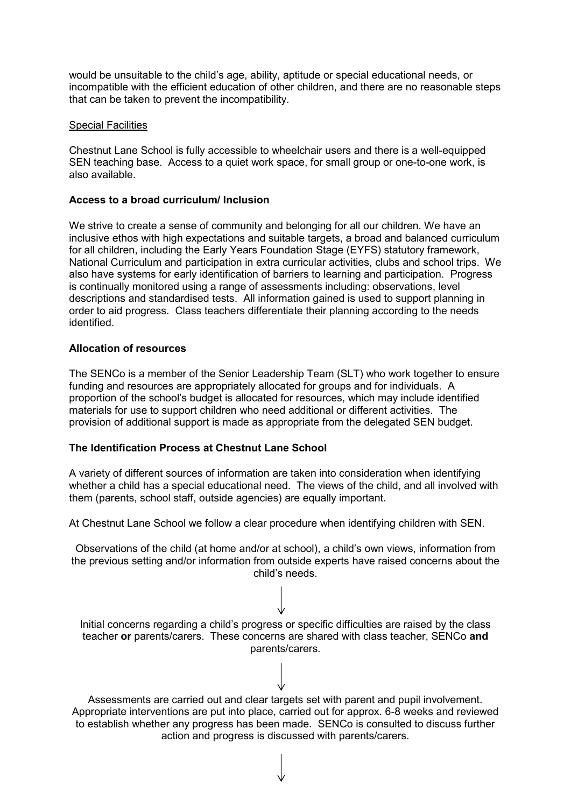would be unsuitable to the child's age, ability, aptitude or special educational needs, or incompatible with the efficient education of other children, and there are no reasonable steps that can be taken to prevent the incompatibility.

#### Special Facilities

Chestnut Lane School is fully accessible to wheelchair users and there is a well-equipped SEN teaching base. Access to a quiet work space, for small group or one-to-one work, is also available.

#### **Access to a broad curriculum/ Inclusion**

We strive to create a sense of community and belonging for all our children. We have an inclusive ethos with high expectations and suitable targets, a broad and balanced curriculum for all children, including the Early Years Foundation Stage (EYFS) statutory framework, National Curriculum and participation in extra curricular activities, clubs and school trips. We also have systems for early identification of barriers to learning and participation. Progress is continually monitored using a range of assessments including: observations, level descriptions and standardised tests. All information gained is used to support planning in order to aid progress. Class teachers differentiate their planning according to the needs identified.

#### **Allocation of resources**

The SENCo is a member of the Senior Leadership Team (SLT) who work together to ensure funding and resources are appropriately allocated for groups and for individuals. A proportion of the school's budget is allocated for resources, which may include identified materials for use to support children who need additional or different activities. The provision of additional support is made as appropriate from the delegated SEN budget.

# **The Identification Process at Chestnut Lane School**

A variety of different sources of information are taken into consideration when identifying whether a child has a special educational need. The views of the child, and all involved with them (parents, school staff, outside agencies) are equally important.

At Chestnut Lane School we follow a clear procedure when identifying children with SEN.

Observations of the child (at home and/or at school), a child's own views, information from the previous setting and/or information from outside experts have raised concerns about the child's needs.

Initial concerns regarding a child's progress or specific difficulties are raised by the class teacher **or** parents/carers. These concerns are shared with class teacher, SENCo **and** parents/carers.

Assessments are carried out and clear targets set with parent and pupil involvement. Appropriate interventions are put into place, carried out for approx. 6-8 weeks and reviewed to establish whether any progress has been made. SENCo is consulted to discuss further action and progress is discussed with parents/carers.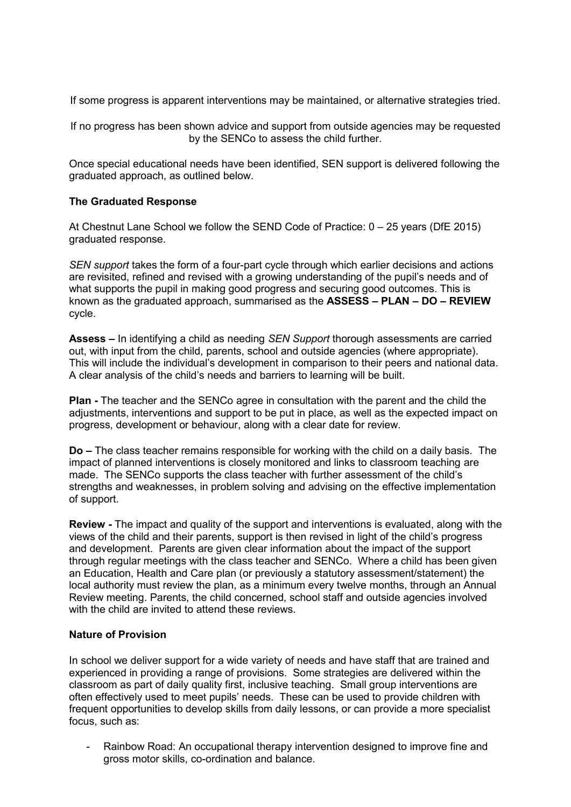If some progress is apparent interventions may be maintained, or alternative strategies tried.

If no progress has been shown advice and support from outside agencies may be requested by the SENCo to assess the child further.

Once special educational needs have been identified, SEN support is delivered following the graduated approach, as outlined below.

# **The Graduated Response**

At Chestnut Lane School we follow the SEND Code of Practice: 0 – 25 years (DfE 2015) graduated response.

*SEN support* takes the form of a four-part cycle through which earlier decisions and actions are revisited, refined and revised with a growing understanding of the pupil's needs and of what supports the pupil in making good progress and securing good outcomes. This is known as the graduated approach, summarised as the **ASSESS – PLAN – DO – REVIEW**  cycle.

**Assess –** In identifying a child as needing *SEN Support* thorough assessments are carried out, with input from the child, parents, school and outside agencies (where appropriate). This will include the individual's development in comparison to their peers and national data. A clear analysis of the child's needs and barriers to learning will be built.

**Plan -** The teacher and the SENCo agree in consultation with the parent and the child the adjustments, interventions and support to be put in place, as well as the expected impact on progress, development or behaviour, along with a clear date for review.

**Do –** The class teacher remains responsible for working with the child on a daily basis. The impact of planned interventions is closely monitored and links to classroom teaching are made. The SENCo supports the class teacher with further assessment of the child's strengths and weaknesses, in problem solving and advising on the effective implementation of support.

**Review -** The impact and quality of the support and interventions is evaluated, along with the views of the child and their parents, support is then revised in light of the child's progress and development. Parents are given clear information about the impact of the support through regular meetings with the class teacher and SENCo. Where a child has been given an Education, Health and Care plan (or previously a statutory assessment/statement) the local authority must review the plan, as a minimum every twelve months, through an Annual Review meeting. Parents, the child concerned, school staff and outside agencies involved with the child are invited to attend these reviews.

#### **Nature of Provision**

In school we deliver support for a wide variety of needs and have staff that are trained and experienced in providing a range of provisions. Some strategies are delivered within the classroom as part of daily quality first, inclusive teaching. Small group interventions are often effectively used to meet pupils' needs. These can be used to provide children with frequent opportunities to develop skills from daily lessons, or can provide a more specialist focus, such as:

Rainbow Road: An occupational therapy intervention designed to improve fine and gross motor skills, co-ordination and balance.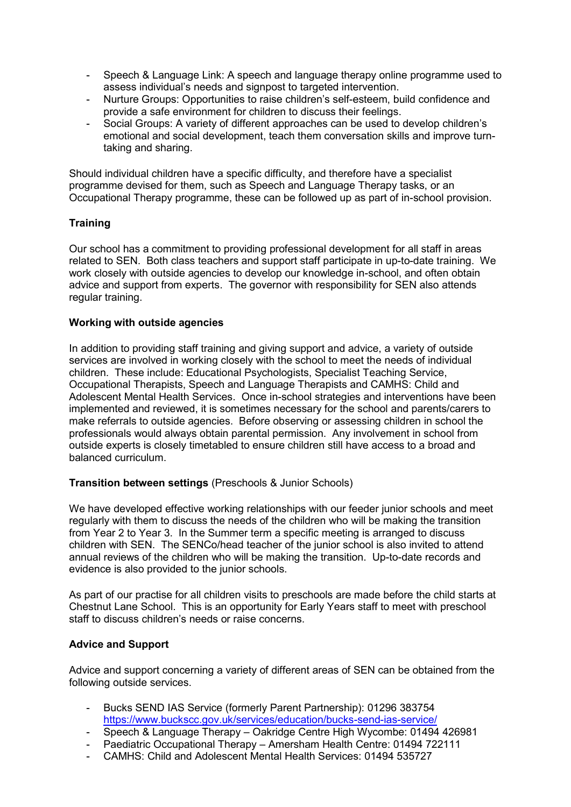- Speech & Language Link: A speech and language therapy online programme used to assess individual's needs and signpost to targeted intervention.
- Nurture Groups: Opportunities to raise children's self-esteem, build confidence and provide a safe environment for children to discuss their feelings.
- Social Groups: A variety of different approaches can be used to develop children's emotional and social development, teach them conversation skills and improve turntaking and sharing.

Should individual children have a specific difficulty, and therefore have a specialist programme devised for them, such as Speech and Language Therapy tasks, or an Occupational Therapy programme, these can be followed up as part of in-school provision.

# **Training**

Our school has a commitment to providing professional development for all staff in areas related to SEN. Both class teachers and support staff participate in up-to-date training. We work closely with outside agencies to develop our knowledge in-school, and often obtain advice and support from experts. The governor with responsibility for SEN also attends regular training.

# **Working with outside agencies**

In addition to providing staff training and giving support and advice, a variety of outside services are involved in working closely with the school to meet the needs of individual children. These include: Educational Psychologists, Specialist Teaching Service, Occupational Therapists, Speech and Language Therapists and CAMHS: Child and Adolescent Mental Health Services. Once in-school strategies and interventions have been implemented and reviewed, it is sometimes necessary for the school and parents/carers to make referrals to outside agencies. Before observing or assessing children in school the professionals would always obtain parental permission. Any involvement in school from outside experts is closely timetabled to ensure children still have access to a broad and balanced curriculum.

# **Transition between settings** (Preschools & Junior Schools)

We have developed effective working relationships with our feeder junior schools and meet regularly with them to discuss the needs of the children who will be making the transition from Year 2 to Year 3. In the Summer term a specific meeting is arranged to discuss children with SEN. The SENCo/head teacher of the junior school is also invited to attend annual reviews of the children who will be making the transition. Up-to-date records and evidence is also provided to the junior schools.

As part of our practise for all children visits to preschools are made before the child starts at Chestnut Lane School. This is an opportunity for Early Years staff to meet with preschool staff to discuss children's needs or raise concerns.

# **Advice and Support**

Advice and support concerning a variety of different areas of SEN can be obtained from the following outside services.

- Bucks SEND IAS Service (formerly Parent Partnership): 01296 383754 <https://www.buckscc.gov.uk/services/education/bucks-send-ias-service/>
- Speech & Language Therapy Oakridge Centre High Wycombe: 01494 426981
- Paediatric Occupational Therapy Amersham Health Centre: 01494 722111
- CAMHS: Child and Adolescent Mental Health Services: 01494 535727